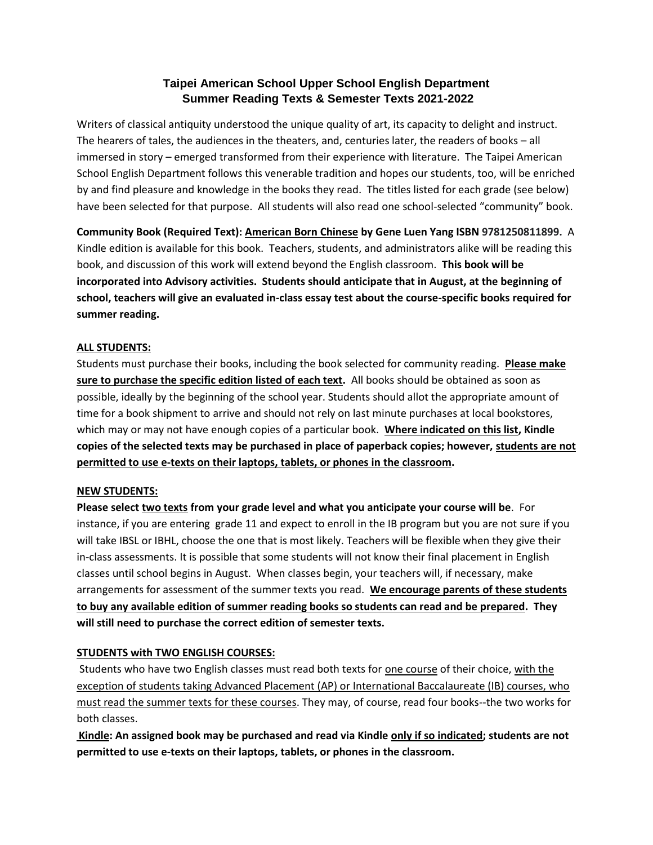# **Taipei American School Upper School English Department Summer Reading Texts & Semester Texts 2021-2022**

Writers of classical antiquity understood the unique quality of art, its capacity to delight and instruct. The hearers of tales, the audiences in the theaters, and, centuries later, the readers of books – all immersed in story – emerged transformed from their experience with literature. The Taipei American School English Department follows this venerable tradition and hopes our students, too, will be enriched by and find pleasure and knowledge in the books they read. The titles listed for each grade (see below) have been selected for that purpose. All students will also read one school-selected "community" book.

**Community Book (Required Text): American Born Chinese by Gene Luen Yang ISBN 9781250811899.** A Kindle edition is available for this book. Teachers, students, and administrators alike will be reading this book, and discussion of this work will extend beyond the English classroom. **This book will be incorporated into Advisory activities. Students should anticipate that in August, at the beginning of school, teachers will give an evaluated in-class essay test about the course-specific books required for summer reading.**

## **ALL STUDENTS:**

Students must purchase their books, including the book selected for community reading. **Please make sure to purchase the specific edition listed of each text.** All books should be obtained as soon as possible, ideally by the beginning of the school year. Students should allot the appropriate amount of time for a book shipment to arrive and should not rely on last minute purchases at local bookstores, which may or may not have enough copies of a particular book. **Where indicated on this list, Kindle copies of the selected texts may be purchased in place of paperback copies; however, students are not permitted to use e-texts on their laptops, tablets, or phones in the classroom.**

## **NEW STUDENTS:**

**Please select two texts from your grade level and what you anticipate your course will be**. For instance, if you are entering grade 11 and expect to enroll in the IB program but you are not sure if you will take IBSL or IBHL, choose the one that is most likely. Teachers will be flexible when they give their in-class assessments. It is possible that some students will not know their final placement in English classes until school begins in August. When classes begin, your teachers will, if necessary, make arrangements for assessment of the summer texts you read. **We encourage parents of these students to buy any available edition of summer reading books so students can read and be prepared. They will still need to purchase the correct edition of semester texts.**

## **STUDENTS with TWO ENGLISH COURSES:**

Students who have two English classes must read both texts for one course of their choice, with the exception of students taking Advanced Placement (AP) or International Baccalaureate (IB) courses, who must read the summer texts for these courses. They may, of course, read four books--the two works for both classes.

**Kindle: An assigned book may be purchased and read via Kindle only if so indicated; students are not permitted to use e-texts on their laptops, tablets, or phones in the classroom.**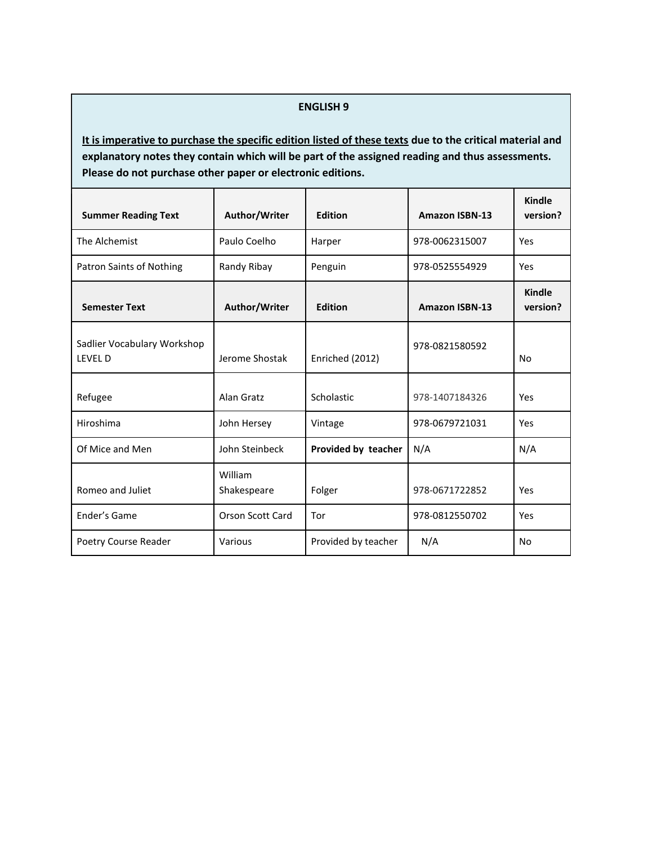#### **ENGLISH 9**

| <b>Summer Reading Text</b>                   | Author/Writer           | <b>Edition</b>      | <b>Amazon ISBN-13</b> | Kindle<br>version?        |
|----------------------------------------------|-------------------------|---------------------|-----------------------|---------------------------|
| The Alchemist                                | Paulo Coelho            | Harper              | 978-0062315007        | Yes                       |
| Patron Saints of Nothing                     | Randy Ribay             | Penguin             | 978-0525554929        | Yes                       |
| <b>Semester Text</b>                         | Author/Writer           | <b>Edition</b>      | <b>Amazon ISBN-13</b> | <b>Kindle</b><br>version? |
| Sadlier Vocabulary Workshop<br><b>IFVFID</b> | Jerome Shostak          | Enriched (2012)     | 978-0821580592        | No                        |
| Refugee                                      | Alan Gratz              | Scholastic          | 978-1407184326        | Yes                       |
| Hiroshima                                    | John Hersey             | Vintage             | 978-0679721031        | Yes                       |
| Of Mice and Men                              | John Steinbeck          | Provided by teacher | N/A                   | N/A                       |
| Romeo and Juliet                             | William<br>Shakespeare  | Folger              | 978-0671722852        | Yes                       |
| Ender's Game                                 | <b>Orson Scott Card</b> | Tor                 | 978-0812550702        | Yes                       |
| Poetry Course Reader                         | Various                 | Provided by teacher | N/A                   | No                        |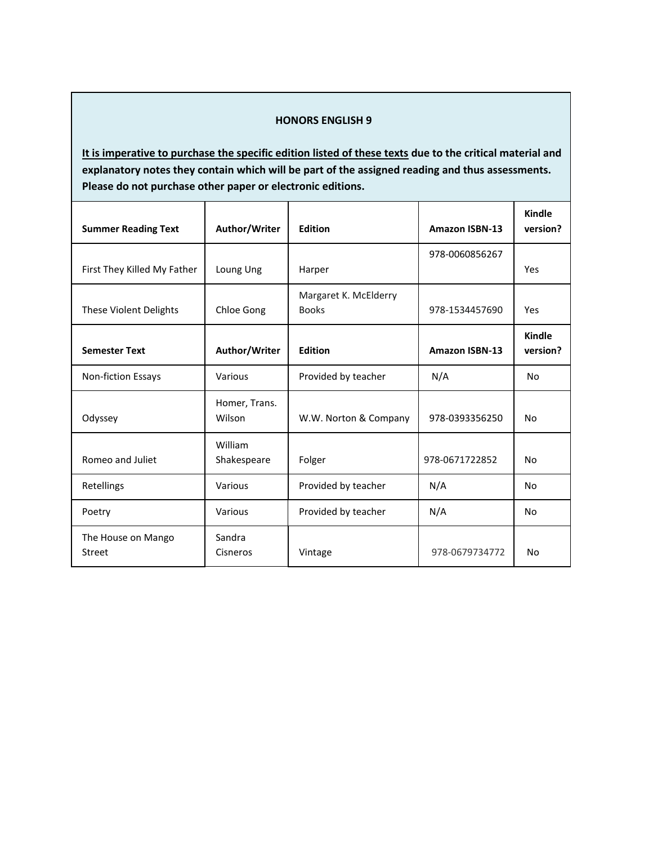## **HONORS ENGLISH 9**

| <b>Summer Reading Text</b>    | Author/Writer           | <b>Edition</b>                        | <b>Amazon ISBN-13</b> | <b>Kindle</b><br>version? |
|-------------------------------|-------------------------|---------------------------------------|-----------------------|---------------------------|
| First They Killed My Father   | Loung Ung               | Harper                                | 978-0060856267        | Yes                       |
|                               |                         |                                       |                       |                           |
| <b>These Violent Delights</b> | Chloe Gong              | Margaret K. McElderry<br><b>Books</b> | 978-1534457690        | Yes                       |
| <b>Semester Text</b>          | Author/Writer           | <b>Edition</b>                        | <b>Amazon ISBN-13</b> | Kindle<br>version?        |
| Non-fiction Essays            | Various                 | Provided by teacher                   | N/A                   | <b>No</b>                 |
| Odyssey                       | Homer, Trans.<br>Wilson | W.W. Norton & Company                 | 978-0393356250        | No                        |
| Romeo and Juliet              | William<br>Shakespeare  | Folger                                | 978-0671722852        | No                        |
| Retellings                    | Various                 | Provided by teacher                   | N/A                   | No                        |
| Poetry                        | Various                 | Provided by teacher                   | N/A                   | No                        |
| The House on Mango<br>Street  | Sandra<br>Cisneros      | Vintage                               | 978-0679734772        | No                        |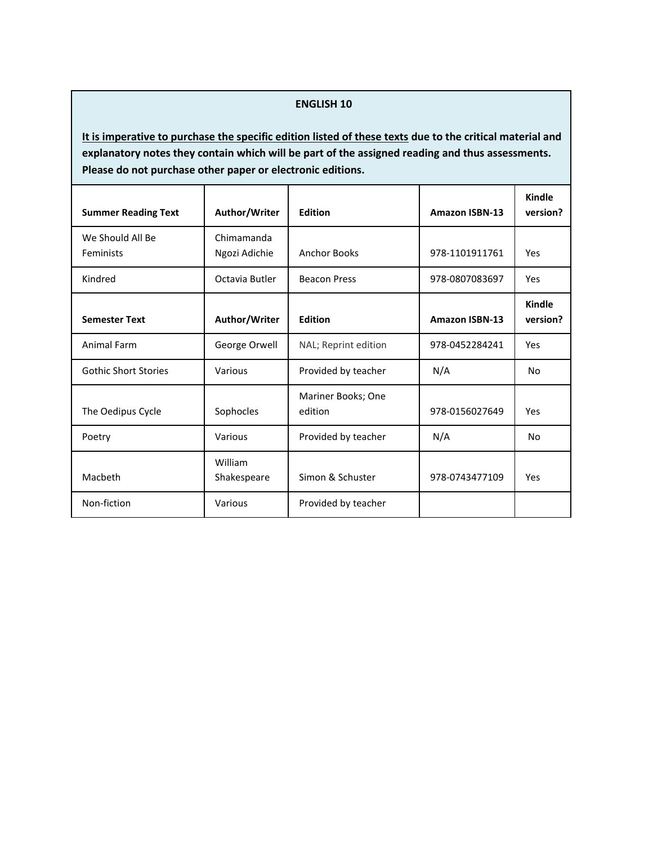#### **ENGLISH 10**

| <b>Summer Reading Text</b>    | Author/Writer               | <b>Edition</b>                | <b>Amazon ISBN-13</b> | Kindle<br>version? |
|-------------------------------|-----------------------------|-------------------------------|-----------------------|--------------------|
| We Should All Be<br>Feminists | Chimamanda<br>Ngozi Adichie | <b>Anchor Books</b>           | 978-1101911761        | Yes                |
| Kindred                       | Octavia Butler              | <b>Beacon Press</b>           | 978-0807083697        | Yes                |
| <b>Semester Text</b>          | Author/Writer               | <b>Edition</b>                | <b>Amazon ISBN-13</b> | Kindle<br>version? |
| Animal Farm                   | George Orwell               | NAL; Reprint edition          | 978-0452284241        | Yes                |
| <b>Gothic Short Stories</b>   | Various                     | Provided by teacher           | N/A                   | No                 |
| The Oedipus Cycle             | Sophocles                   | Mariner Books; One<br>edition | 978-0156027649        | Yes                |
| Poetry                        | Various                     | Provided by teacher           | N/A                   | No                 |
| Macbeth                       | William<br>Shakespeare      | Simon & Schuster              | 978-0743477109        | Yes                |
| Non-fiction                   | Various                     | Provided by teacher           |                       |                    |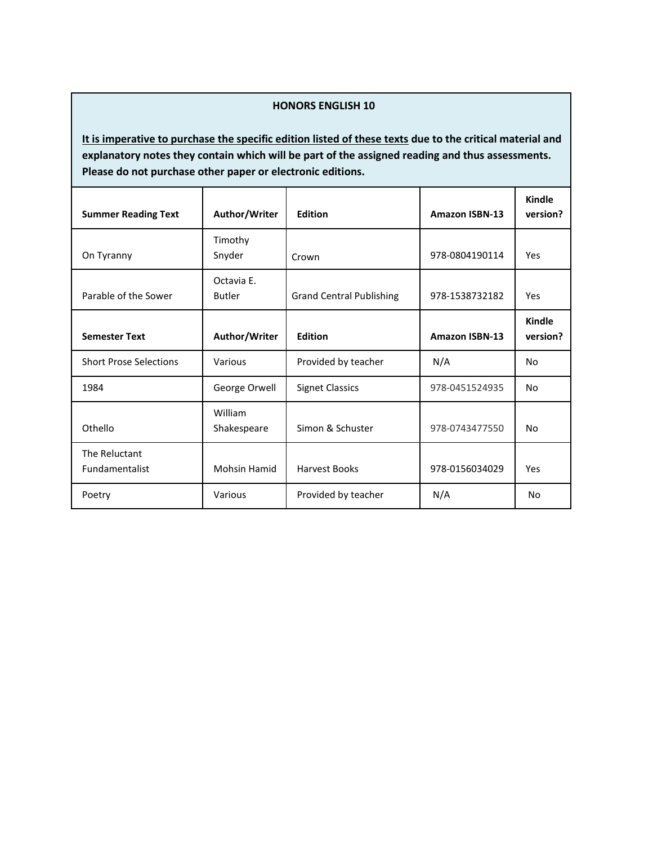## **HONORS ENGLISH 10**

| <b>Summer Reading Text</b>      | Author/Writer               | <b>Edition</b>                  | <b>Amazon ISBN-13</b> | Kindle<br>version? |
|---------------------------------|-----------------------------|---------------------------------|-----------------------|--------------------|
| On Tyranny                      | Timothy<br>Snyder           | Crown                           | 978-0804190114        | Yes                |
| Parable of the Sower            | Octavia E.<br><b>Butler</b> | <b>Grand Central Publishing</b> | 978-1538732182        | Yes                |
| <b>Semester Text</b>            | Author/Writer               | <b>Edition</b>                  | <b>Amazon ISBN-13</b> | Kindle<br>version? |
| <b>Short Prose Selections</b>   | Various                     | Provided by teacher             | N/A                   | No                 |
| 1984                            | George Orwell               | <b>Signet Classics</b>          | 978-0451524935        | No                 |
| Othello                         | William<br>Shakespeare      | Simon & Schuster                | 978-0743477550        | No                 |
| The Reluctant<br>Fundamentalist | <b>Mohsin Hamid</b>         | <b>Harvest Books</b>            | 978-0156034029        | Yes                |
| Poetry                          | Various                     | Provided by teacher             | N/A                   | No                 |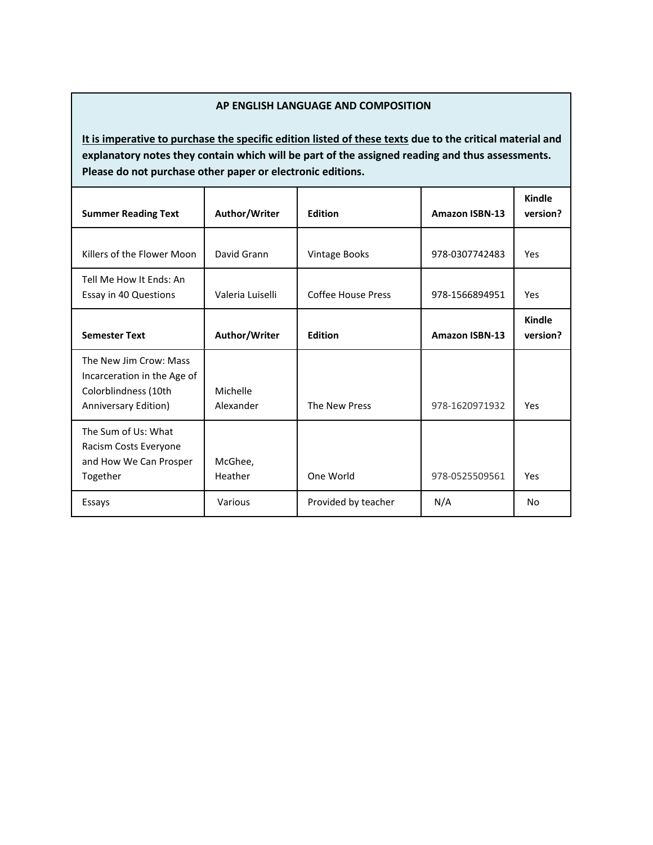## **AP ENGLISH LANGUAGE AND COMPOSITION**

| <b>Summer Reading Text</b>                                                                            | Author/Writer         | <b>Edition</b>            | <b>Amazon ISBN-13</b> | <b>Kindle</b><br>version? |
|-------------------------------------------------------------------------------------------------------|-----------------------|---------------------------|-----------------------|---------------------------|
| Killers of the Flower Moon                                                                            | David Grann           | Vintage Books             | 978-0307742483        | Yes                       |
| Tell Me How It Ends: An<br>Essay in 40 Questions                                                      | Valeria Luiselli      | <b>Coffee House Press</b> | 978-1566894951        | Yes                       |
| <b>Semester Text</b>                                                                                  | Author/Writer         | Edition                   | <b>Amazon ISBN-13</b> | Kindle<br>version?        |
| The New Jim Crow: Mass<br>Incarceration in the Age of<br>Colorblindness (10th<br>Anniversary Edition) | Michelle<br>Alexander | The New Press             | 978-1620971932        | Yes                       |
| The Sum of Us: What<br>Racism Costs Everyone<br>and How We Can Prosper<br>Together                    | McGhee,<br>Heather    | One World                 | 978-0525509561        | Yes                       |
| Essays                                                                                                | Various               | Provided by teacher       | N/A                   | No                        |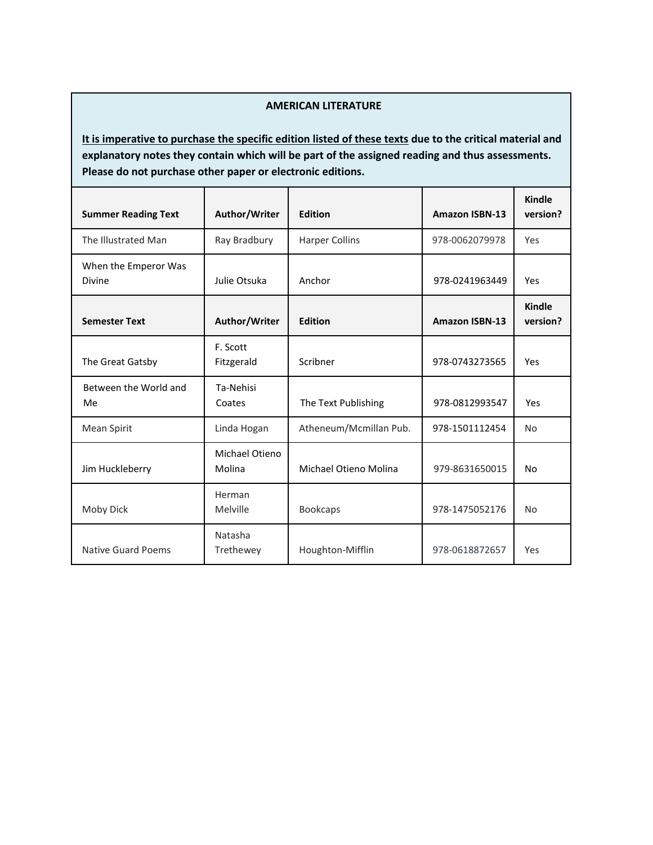## **AMERICAN LITERATURE**

| <b>Summer Reading Text</b>     | Author/Writer            | <b>Edition</b>         | <b>Amazon ISBN-13</b> | Kindle<br>version?        |
|--------------------------------|--------------------------|------------------------|-----------------------|---------------------------|
| The Illustrated Man            | Ray Bradbury             | <b>Harper Collins</b>  | 978-0062079978        | Yes                       |
| When the Emperor Was<br>Divine | Julie Otsuka             | Anchor                 | 978-0241963449        | Yes                       |
| <b>Semester Text</b>           | Author/Writer            | <b>Edition</b>         | <b>Amazon ISBN-13</b> | <b>Kindle</b><br>version? |
| The Great Gatsby               | F. Scott<br>Fitzgerald   | Scribner               | 978-0743273565        | Yes                       |
| Between the World and<br>Me    | Ta-Nehisi<br>Coates      | The Text Publishing    | 978-0812993547        | Yes                       |
| Mean Spirit                    | Linda Hogan              | Atheneum/Mcmillan Pub. | 978-1501112454        | <b>No</b>                 |
| Jim Huckleberry                | Michael Otieno<br>Molina | Michael Otieno Molina  | 979-8631650015        | No                        |
| Moby Dick                      | Herman<br>Melville       | <b>Bookcaps</b>        | 978-1475052176        | <b>No</b>                 |
| Native Guard Poems             | Natasha<br>Trethewey     | Houghton-Mifflin       | 978-0618872657        | Yes                       |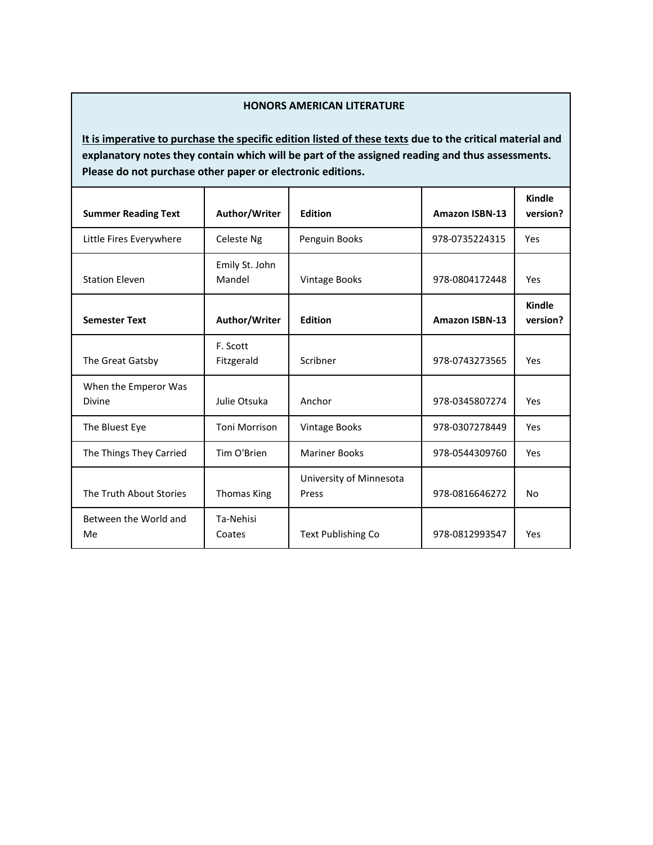## **HONORS AMERICAN LITERATURE**

| <b>Summer Reading Text</b>            | Author/Writer            | <b>Edition</b>                   | <b>Amazon ISBN-13</b> | Kindle<br>version? |
|---------------------------------------|--------------------------|----------------------------------|-----------------------|--------------------|
| Little Fires Everywhere               | Celeste Ng               | Penguin Books                    | 978-0735224315        | Yes                |
| <b>Station Eleven</b>                 | Emily St. John<br>Mandel | <b>Vintage Books</b>             | 978-0804172448        | Yes                |
| <b>Semester Text</b>                  | Author/Writer            | <b>Edition</b>                   | <b>Amazon ISBN-13</b> | Kindle<br>version? |
| The Great Gatsby                      | F. Scott<br>Fitzgerald   | Scribner                         | 978-0743273565        | Yes                |
| When the Emperor Was<br><b>Divine</b> | Julie Otsuka             | Anchor                           | 978-0345807274        | Yes                |
| The Bluest Eye                        | <b>Toni Morrison</b>     | Vintage Books                    | 978-0307278449        | Yes                |
| The Things They Carried               | Tim O'Brien              | <b>Mariner Books</b>             | 978-0544309760        | Yes                |
| The Truth About Stories               | <b>Thomas King</b>       | University of Minnesota<br>Press | 978-0816646272        | No                 |
| Between the World and<br>Me           | Ta-Nehisi<br>Coates      | <b>Text Publishing Co</b>        | 978-0812993547        | Yes                |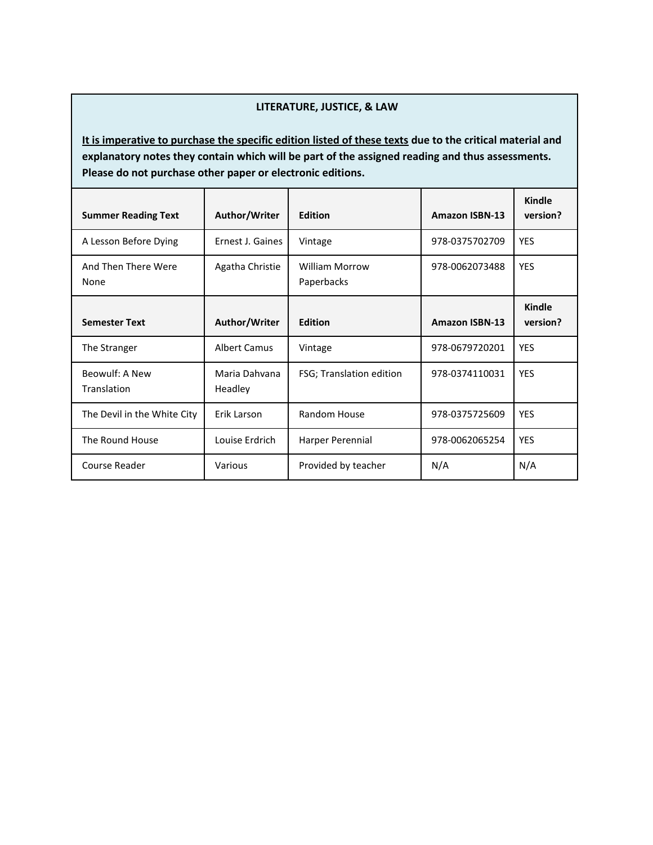#### **LITERATURE, JUSTICE, & LAW**

| <b>Summer Reading Text</b>    | Author/Writer            | <b>Edition</b>                      | <b>Amazon ISBN-13</b> | <b>Kindle</b><br>version? |
|-------------------------------|--------------------------|-------------------------------------|-----------------------|---------------------------|
| A Lesson Before Dying         | Ernest J. Gaines         | Vintage                             | 978-0375702709        | <b>YES</b>                |
| And Then There Were<br>None   | Agatha Christie          | <b>William Morrow</b><br>Paperbacks | 978-0062073488        | <b>YES</b>                |
| <b>Semester Text</b>          | Author/Writer            | <b>Edition</b>                      | <b>Amazon ISBN-13</b> | <b>Kindle</b><br>version? |
| The Stranger                  | <b>Albert Camus</b>      | Vintage                             | 978-0679720201        | <b>YES</b>                |
| Beowulf: A New<br>Translation | Maria Dahvana<br>Headley | FSG; Translation edition            | 978-0374110031        | <b>YES</b>                |
| The Devil in the White City   | Erik Larson              | Random House                        | 978-0375725609        | <b>YES</b>                |
| The Round House               | Louise Erdrich           | Harper Perennial                    | 978-0062065254        | <b>YES</b>                |
| Course Reader                 | Various                  | Provided by teacher                 | N/A                   | N/A                       |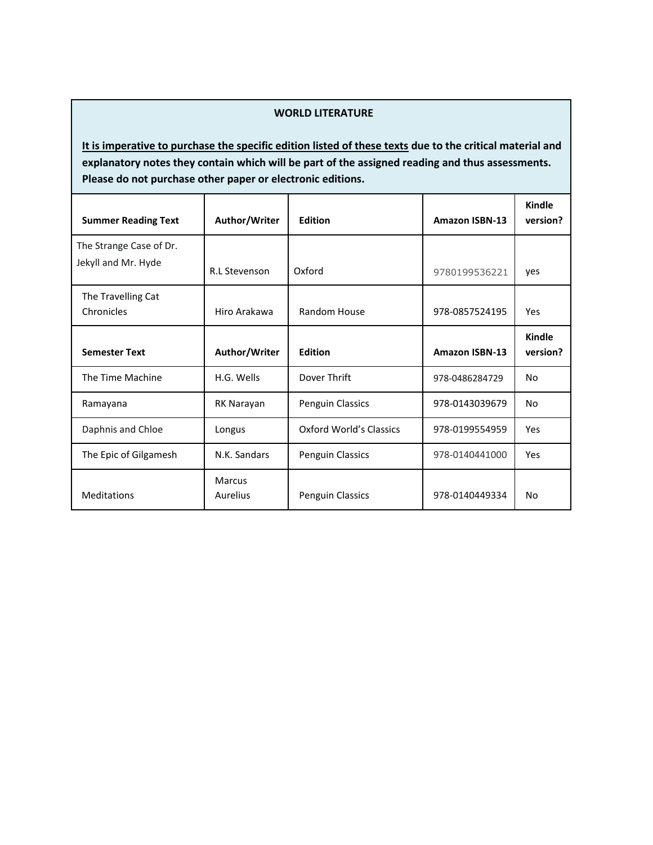#### **WORLD LITERATURE**

| <b>Summer Reading Text</b>       | Author/Writer             | <b>Edition</b>          | <b>Amazon ISBN-13</b> | <b>Kindle</b><br>version? |
|----------------------------------|---------------------------|-------------------------|-----------------------|---------------------------|
| The Strange Case of Dr.          |                           |                         |                       |                           |
| Jekyll and Mr. Hyde              | <b>R.L Stevenson</b>      | Oxford                  | 9780199536221         | yes                       |
| The Travelling Cat<br>Chronicles | Hiro Arakawa              | Random House            | 978-0857524195        | Yes                       |
| <b>Semester Text</b>             | Author/Writer             | <b>Edition</b>          | <b>Amazon ISBN-13</b> | Kindle<br>version?        |
| The Time Machine                 | H.G. Wells                | Dover Thrift            | 978-0486284729        | No                        |
| Ramayana                         | RK Narayan                | Penguin Classics        | 978-0143039679        | No                        |
| Daphnis and Chloe                | Longus                    | Oxford World's Classics | 978-0199554959        | Yes                       |
| The Epic of Gilgamesh            | N.K. Sandars              | <b>Penguin Classics</b> | 978-0140441000        | Yes                       |
| <b>Meditations</b>               | <b>Marcus</b><br>Aurelius | <b>Penguin Classics</b> | 978-0140449334        | No                        |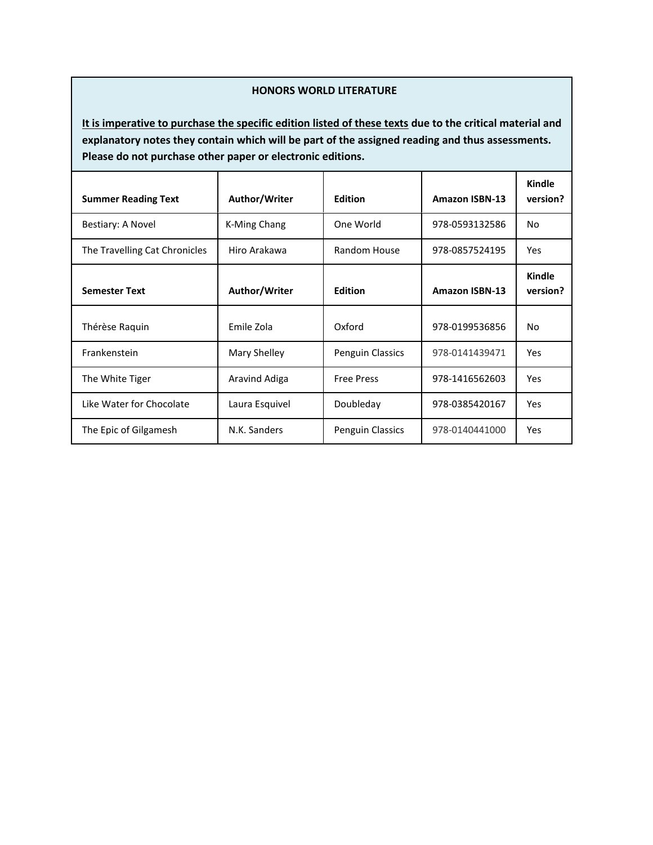#### **HONORS WORLD LITERATURE**

| <b>Summer Reading Text</b>    | Author/Writer  | <b>Edition</b>    | <b>Amazon ISBN-13</b> | Kindle<br>version?        |
|-------------------------------|----------------|-------------------|-----------------------|---------------------------|
| Bestiary: A Novel             | K-Ming Chang   | One World         | 978-0593132586        | No.                       |
| The Travelling Cat Chronicles | Hiro Arakawa   | Random House      | 978-0857524195        | <b>Yes</b>                |
| <b>Semester Text</b>          | Author/Writer  | <b>Edition</b>    | <b>Amazon ISBN-13</b> | <b>Kindle</b><br>version? |
| Thérèse Raquin                | Emile Zola     | Oxford            | 978-0199536856        | No.                       |
| Frankenstein                  | Mary Shelley   | Penguin Classics  | 978-0141439471        | <b>Yes</b>                |
| The White Tiger               | Aravind Adiga  | <b>Free Press</b> | 978-1416562603        | <b>Yes</b>                |
| Like Water for Chocolate      | Laura Esquivel | Doubleday         | 978-0385420167        | <b>Yes</b>                |
| The Epic of Gilgamesh         | N.K. Sanders   | Penguin Classics  | 978-0140441000        | <b>Yes</b>                |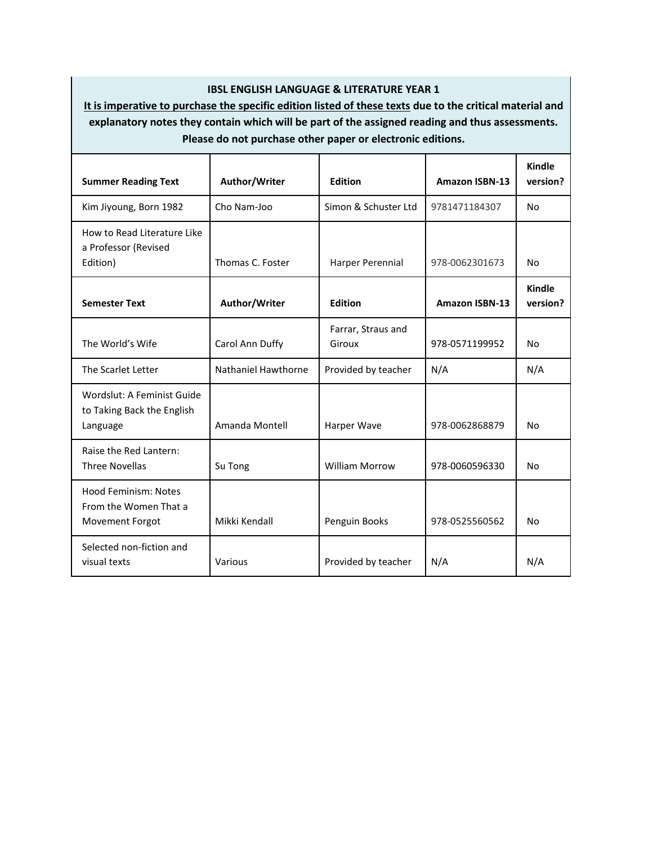## **IBSL ENGLISH LANGUAGE & LITERATURE YEAR 1**

| <b>Summer Reading Text</b>                                              | Author/Writer       | Edition                      | <b>Amazon ISBN-13</b> | Kindle<br>version? |
|-------------------------------------------------------------------------|---------------------|------------------------------|-----------------------|--------------------|
| Kim Jiyoung, Born 1982                                                  | Cho Nam-Joo         | Simon & Schuster Ltd         | 9781471184307         | No                 |
| How to Read Literature Like<br>a Professor (Revised<br>Edition)         | Thomas C. Foster    | Harper Perennial             | 978-0062301673        | <b>No</b>          |
| <b>Semester Text</b>                                                    | Author/Writer       | Edition                      | <b>Amazon ISBN-13</b> | Kindle<br>version? |
| The World's Wife                                                        | Carol Ann Duffy     | Farrar, Straus and<br>Giroux | 978-0571199952        | No                 |
| The Scarlet Letter                                                      | Nathaniel Hawthorne | Provided by teacher          | N/A                   | N/A                |
| Wordslut: A Feminist Guide<br>to Taking Back the English<br>Language    | Amanda Montell      | Harper Wave                  | 978-0062868879        | <b>No</b>          |
| Raise the Red Lantern:<br><b>Three Novellas</b>                         | Su Tong             | <b>William Morrow</b>        | 978-0060596330        | No                 |
| Hood Feminism: Notes<br>From the Women That a<br><b>Movement Forgot</b> | Mikki Kendall       | Penguin Books                | 978-0525560562        | No                 |
| Selected non-fiction and<br>visual texts                                | Various             | Provided by teacher          | N/A                   | N/A                |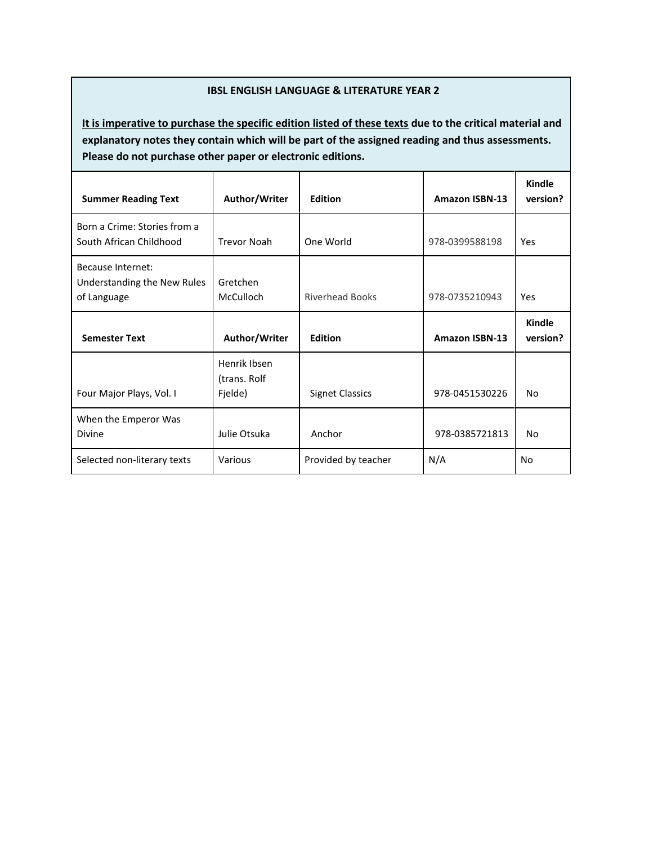### **IBSL ENGLISH LANGUAGE & LITERATURE YEAR 2**

| <b>Summer Reading Text</b>                                      | Author/Writer                           | <b>Edition</b>         | <b>Amazon ISBN-13</b> | <b>Kindle</b><br>version? |
|-----------------------------------------------------------------|-----------------------------------------|------------------------|-----------------------|---------------------------|
| Born a Crime: Stories from a<br>South African Childhood         | <b>Trevor Noah</b>                      | One World              | 978-0399588198        | Yes                       |
| Because Internet:<br>Understanding the New Rules<br>of Language | Gretchen<br>McCulloch                   | <b>Riverhead Books</b> | 978-0735210943        | Yes                       |
| <b>Semester Text</b>                                            | Author/Writer                           | <b>Edition</b>         | <b>Amazon ISBN-13</b> | Kindle<br>version?        |
| Four Major Plays, Vol. I                                        | Henrik Ibsen<br>(trans. Rolf<br>Fjelde) | <b>Signet Classics</b> | 978-0451530226        | No                        |
| When the Emperor Was<br><b>Divine</b>                           | Julie Otsuka                            | Anchor                 | 978-0385721813        | No                        |
| Selected non-literary texts                                     | Various                                 | Provided by teacher    | N/A                   | No                        |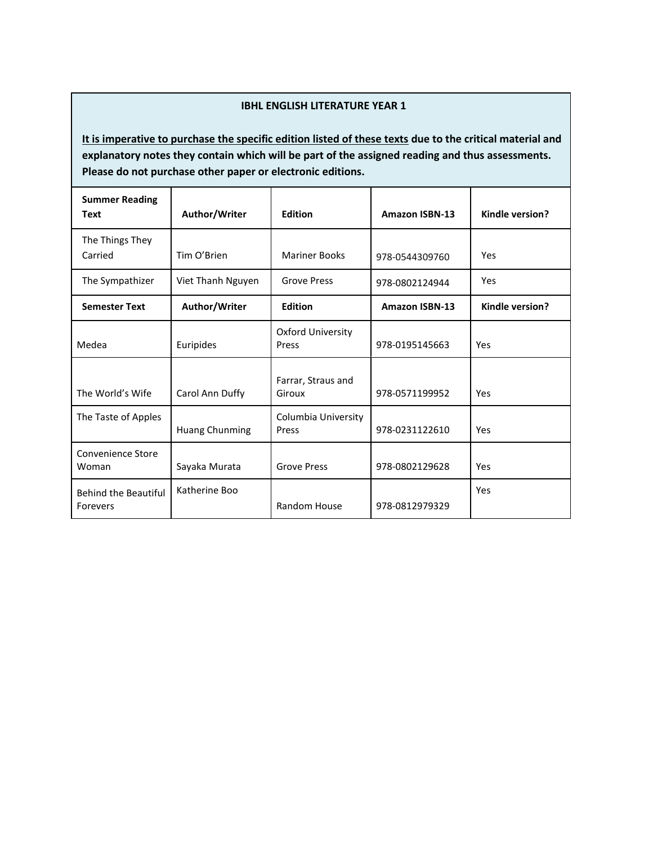## **IBHL ENGLISH LITERATURE YEAR 1**

| <b>Summer Reading</b><br><b>Text</b>    | Author/Writer         | <b>Edition</b>               | <b>Amazon ISBN-13</b> | Kindle version? |
|-----------------------------------------|-----------------------|------------------------------|-----------------------|-----------------|
| The Things They<br>Carried              | Tim O'Brien           | <b>Mariner Books</b>         | 978-0544309760        | Yes             |
| The Sympathizer                         | Viet Thanh Nguyen     | <b>Grove Press</b>           | 978-0802124944        | Yes             |
| <b>Semester Text</b>                    | Author/Writer         | <b>Edition</b>               | <b>Amazon ISBN-13</b> | Kindle version? |
| Medea                                   | Euripides             | Oxford University<br>Press   | 978-0195145663        | Yes             |
| The World's Wife                        | Carol Ann Duffy       | Farrar, Straus and<br>Giroux | 978-0571199952        | Yes             |
| The Taste of Apples                     | <b>Huang Chunming</b> | Columbia University<br>Press | 978-0231122610        | Yes             |
| Convenience Store<br>Woman              | Sayaka Murata         | <b>Grove Press</b>           | 978-0802129628        | Yes             |
| <b>Behind the Beautiful</b><br>Forevers | Katherine Boo         | <b>Random House</b>          | 978-0812979329        | Yes             |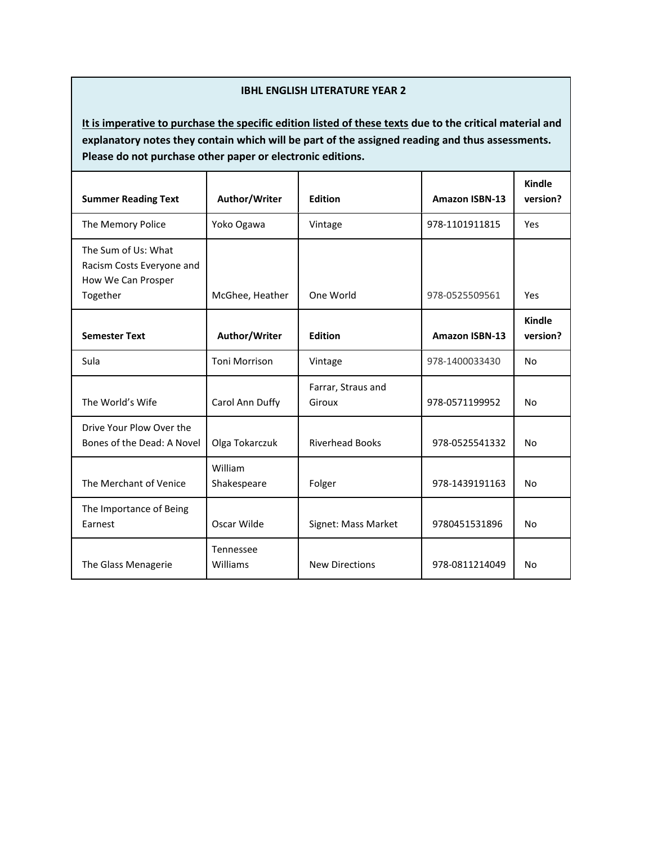#### **IBHL ENGLISH LITERATURE YEAR 2**

| <b>Summer Reading Text</b>                                                         | Author/Writer          | <b>Edition</b>               | <b>Amazon ISBN-13</b> | Kindle<br>version?        |
|------------------------------------------------------------------------------------|------------------------|------------------------------|-----------------------|---------------------------|
| The Memory Police                                                                  | Yoko Ogawa             | Vintage                      | 978-1101911815        | Yes                       |
| The Sum of Us: What<br>Racism Costs Everyone and<br>How We Can Prosper<br>Together | McGhee, Heather        | One World                    | 978-0525509561        | Yes                       |
| <b>Semester Text</b>                                                               | Author/Writer          | <b>Edition</b>               | <b>Amazon ISBN-13</b> | <b>Kindle</b><br>version? |
| Sula                                                                               | <b>Toni Morrison</b>   | Vintage                      | 978-1400033430        | No                        |
| The World's Wife                                                                   | Carol Ann Duffy        | Farrar, Straus and<br>Giroux | 978-0571199952        | No                        |
| Drive Your Plow Over the<br>Bones of the Dead: A Novel                             | Olga Tokarczuk         | <b>Riverhead Books</b>       | 978-0525541332        | No                        |
| The Merchant of Venice                                                             | William<br>Shakespeare | Folger                       | 978-1439191163        | No                        |
| The Importance of Being<br>Earnest                                                 | Oscar Wilde            | Signet: Mass Market          | 9780451531896         | No                        |
| The Glass Menagerie                                                                | Tennessee<br>Williams  | <b>New Directions</b>        | 978-0811214049        | <b>No</b>                 |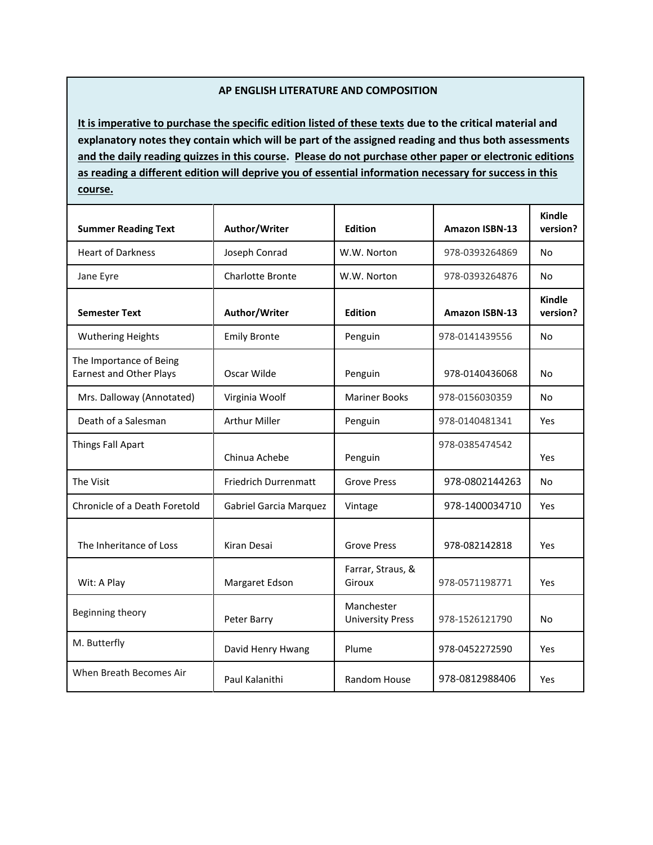#### **AP ENGLISH LITERATURE AND COMPOSITION**

**It is imperative to purchase the specific edition listed of these texts due to the critical material and explanatory notes they contain which will be part of the assigned reading and thus both assessments and the daily reading quizzes in this course. Please do not purchase other paper or electronic editions as reading a different edition will deprive you of essential information necessary for success in this course.**

| <b>Summer Reading Text</b>                                | Author/Writer               | <b>Edition</b>                        | <b>Amazon ISBN-13</b> | <b>Kindle</b><br>version? |
|-----------------------------------------------------------|-----------------------------|---------------------------------------|-----------------------|---------------------------|
| <b>Heart of Darkness</b>                                  | Joseph Conrad               | W.W. Norton                           | 978-0393264869        | No                        |
| Jane Eyre                                                 | <b>Charlotte Bronte</b>     | W.W. Norton                           | 978-0393264876        | No                        |
| <b>Semester Text</b>                                      | Author/Writer               | <b>Edition</b>                        | <b>Amazon ISBN-13</b> | <b>Kindle</b><br>version? |
| <b>Wuthering Heights</b>                                  | <b>Emily Bronte</b>         | Penguin                               | 978-0141439556        | No                        |
| The Importance of Being<br><b>Earnest and Other Plays</b> | Oscar Wilde                 | Penguin                               | 978-0140436068        | No                        |
| Mrs. Dalloway (Annotated)                                 | Virginia Woolf              | <b>Mariner Books</b>                  | 978-0156030359        | No                        |
| Death of a Salesman                                       | <b>Arthur Miller</b>        | Penguin                               | 978-0140481341        | Yes                       |
| Things Fall Apart                                         | Chinua Achebe               | Penguin                               | 978-0385474542        | Yes                       |
| The Visit                                                 | <b>Friedrich Durrenmatt</b> | <b>Grove Press</b>                    | 978-0802144263        | No                        |
| Chronicle of a Death Foretold                             | Gabriel Garcia Marquez      | Vintage                               | 978-1400034710        | Yes                       |
| The Inheritance of Loss                                   | Kiran Desai                 | <b>Grove Press</b>                    | 978-082142818         | Yes                       |
| Wit: A Play                                               | Margaret Edson              | Farrar, Straus, &<br>Giroux           | 978-0571198771        | Yes                       |
| Beginning theory                                          | Peter Barry                 | Manchester<br><b>University Press</b> | 978-1526121790        | No                        |
| M. Butterfly                                              | David Henry Hwang           | Plume                                 | 978-0452272590        | Yes                       |
| When Breath Becomes Air                                   | Paul Kalanithi              | Random House                          | 978-0812988406        | Yes                       |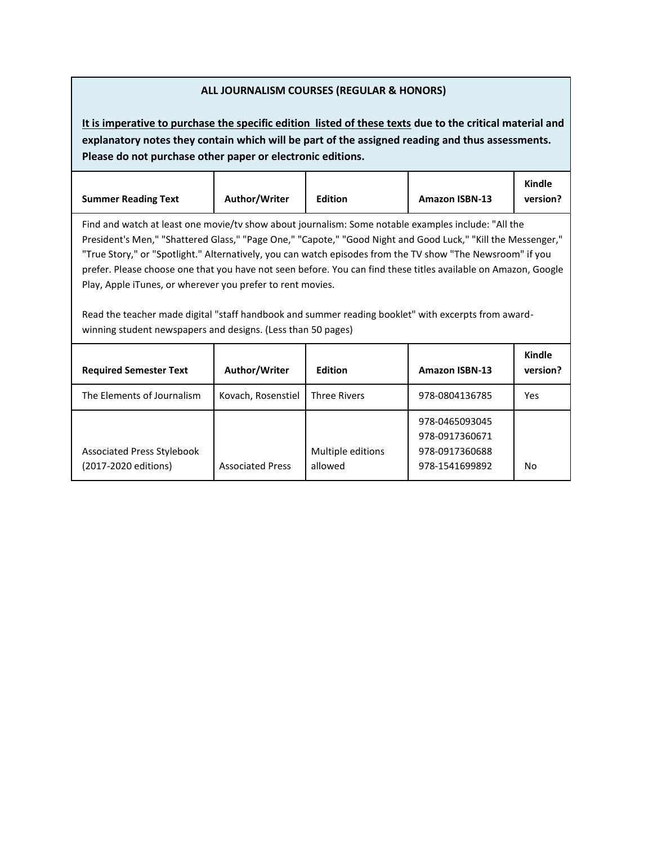## **ALL JOURNALISM COURSES (REGULAR & HONORS)**

| <b>Summer Reading Text</b>                                                                                                                                                                                                                                                                                                                                                                                                                                                                                                                                                                                                                                                               | Author/Writer           | <b>Edition</b>               | <b>Amazon ISBN-13</b>                                                | Kindle<br>version?        |
|------------------------------------------------------------------------------------------------------------------------------------------------------------------------------------------------------------------------------------------------------------------------------------------------------------------------------------------------------------------------------------------------------------------------------------------------------------------------------------------------------------------------------------------------------------------------------------------------------------------------------------------------------------------------------------------|-------------------------|------------------------------|----------------------------------------------------------------------|---------------------------|
| Find and watch at least one movie/tv show about journalism: Some notable examples include: "All the<br>President's Men," "Shattered Glass," "Page One," "Capote," "Good Night and Good Luck," "Kill the Messenger,"<br>"True Story," or "Spotlight." Alternatively, you can watch episodes from the TV show "The Newsroom" if you<br>prefer. Please choose one that you have not seen before. You can find these titles available on Amazon, Google<br>Play, Apple iTunes, or wherever you prefer to rent movies.<br>Read the teacher made digital "staff handbook and summer reading booklet" with excerpts from award-<br>winning student newspapers and designs. (Less than 50 pages) |                         |                              |                                                                      |                           |
| <b>Required Semester Text</b>                                                                                                                                                                                                                                                                                                                                                                                                                                                                                                                                                                                                                                                            | Author/Writer           | <b>Edition</b>               | <b>Amazon ISBN-13</b>                                                | <b>Kindle</b><br>version? |
| The Elements of Journalism                                                                                                                                                                                                                                                                                                                                                                                                                                                                                                                                                                                                                                                               | Kovach, Rosenstiel      | <b>Three Rivers</b>          | 978-0804136785                                                       | Yes                       |
| <b>Associated Press Stylebook</b><br>(2017-2020 editions)                                                                                                                                                                                                                                                                                                                                                                                                                                                                                                                                                                                                                                | <b>Associated Press</b> | Multiple editions<br>allowed | 978-0465093045<br>978-0917360671<br>978-0917360688<br>978-1541699892 | No                        |